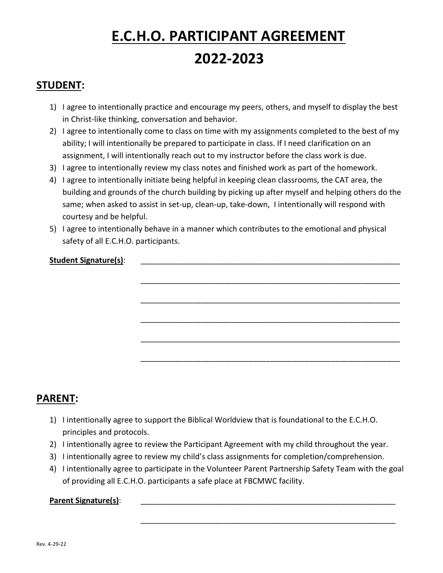# **E.C.H.O. PARTICIPANT AGREEMENT 2022-2023**

#### **STUDENT:**

- 1) I agree to intentionally practice and encourage my peers, others, and myself to display the best in Christ-like thinking, conversation and behavior.
- 2) I agree to intentionally come to class on time with my assignments completed to the best of my ability; I will intentionally be prepared to participate in class. If I need clarification on an assignment, I will intentionally reach out to my instructor before the class work is due.
- 3) I agree to intentionally review my class notes and finished work as part of the homework.
- 4) I agree to intentionally initiate being helpful in keeping clean classrooms, the CAT area, the building and grounds of the church building by picking up after myself and helping others do the same; when asked to assist in set-up, clean-up, take-down, I intentionally will respond with courtesy and be helpful.

\_\_\_\_\_\_\_\_\_\_\_\_\_\_\_\_\_\_\_\_\_\_\_\_\_\_\_\_\_\_\_\_\_\_\_\_\_\_\_\_\_\_\_\_\_\_\_\_\_\_\_\_\_\_\_\_\_\_\_\_

\_\_\_\_\_\_\_\_\_\_\_\_\_\_\_\_\_\_\_\_\_\_\_\_\_\_\_\_\_\_\_\_\_\_\_\_\_\_\_\_\_\_\_\_\_\_\_\_\_\_\_\_\_\_\_\_\_\_\_\_

\_\_\_\_\_\_\_\_\_\_\_\_\_\_\_\_\_\_\_\_\_\_\_\_\_\_\_\_\_\_\_\_\_\_\_\_\_\_\_\_\_\_\_\_\_\_\_\_\_\_\_\_\_\_\_\_\_\_\_\_

\_\_\_\_\_\_\_\_\_\_\_\_\_\_\_\_\_\_\_\_\_\_\_\_\_\_\_\_\_\_\_\_\_\_\_\_\_\_\_\_\_\_\_\_\_\_\_\_\_\_\_\_\_\_\_\_\_\_\_\_

\_\_\_\_\_\_\_\_\_\_\_\_\_\_\_\_\_\_\_\_\_\_\_\_\_\_\_\_\_\_\_\_\_\_\_\_\_\_\_\_\_\_\_\_\_\_\_\_\_\_\_\_\_\_\_\_\_\_\_\_

\_\_\_\_\_\_\_\_\_\_\_\_\_\_\_\_\_\_\_\_\_\_\_\_\_\_\_\_\_\_\_\_\_\_\_\_\_\_\_\_\_\_\_\_\_\_\_\_\_\_\_\_\_\_\_\_\_\_\_

5) I agree to intentionally behave in a manner which contributes to the emotional and physical safety of all E.C.H.O. participants.

#### Student Signature(s):

### **PARENT:**

- 1) I intentionally agree to support the Biblical Worldview that is foundational to the E.C.H.O. principles and protocols.
- 2) I intentionally agree to review the Participant Agreement with my child throughout the year.
- 3) I intentionally agree to review my child's class assignments for completion/comprehension.
- 4) I intentionally agree to participate in the Volunteer Parent Partnership Safety Team with the goal of providing all E.C.H.O. participants a safe place at FBCMWC facility.

#### **Parent Signature(s):**